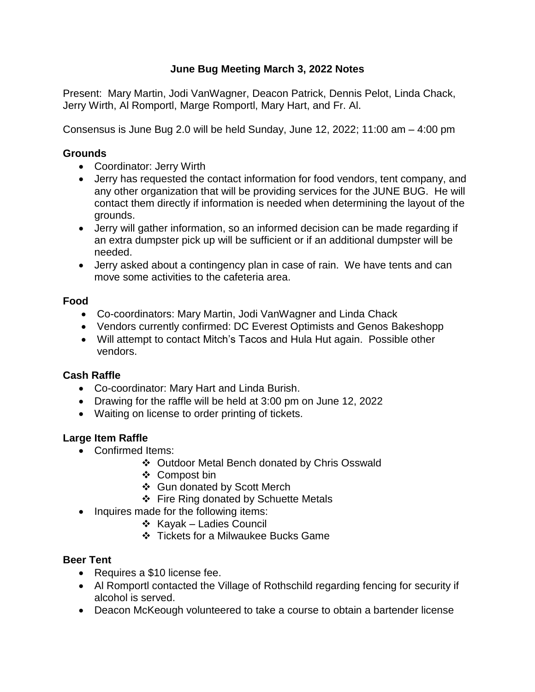# **June Bug Meeting March 3, 2022 Notes**

Present: Mary Martin, Jodi VanWagner, Deacon Patrick, Dennis Pelot, Linda Chack, Jerry Wirth, Al Romportl, Marge Romportl, Mary Hart, and Fr. Al.

Consensus is June Bug 2.0 will be held Sunday, June 12, 2022; 11:00 am – 4:00 pm

#### **Grounds**

- Coordinator: Jerry Wirth
- Jerry has requested the contact information for food vendors, tent company, and any other organization that will be providing services for the JUNE BUG. He will contact them directly if information is needed when determining the layout of the grounds.
- Jerry will gather information, so an informed decision can be made regarding if an extra dumpster pick up will be sufficient or if an additional dumpster will be needed.
- Jerry asked about a contingency plan in case of rain. We have tents and can move some activities to the cafeteria area.

#### **Food**

- Co-coordinators: Mary Martin, Jodi VanWagner and Linda Chack
- Vendors currently confirmed: DC Everest Optimists and Genos Bakeshopp
- Will attempt to contact Mitch's Tacos and Hula Hut again. Possible other vendors.

# **Cash Raffle**

- Co-coordinator: Mary Hart and Linda Burish.
- Drawing for the raffle will be held at 3:00 pm on June 12, 2022
- Waiting on license to order printing of tickets.

# **Large Item Raffle**

- Confirmed Items:
	- ❖ Outdoor Metal Bench donated by Chris Osswald
	- ❖ Compost bin
	- ❖ Gun donated by Scott Merch
	- ❖ Fire Ring donated by Schuette Metals
- Inquires made for the following items:
	- ❖ Kayak Ladies Council
	- ❖ Tickets for a Milwaukee Bucks Game

# **Beer Tent**

- Requires a \$10 license fee.
- Al Romportl contacted the Village of Rothschild regarding fencing for security if alcohol is served.
- Deacon McKeough volunteered to take a course to obtain a bartender license